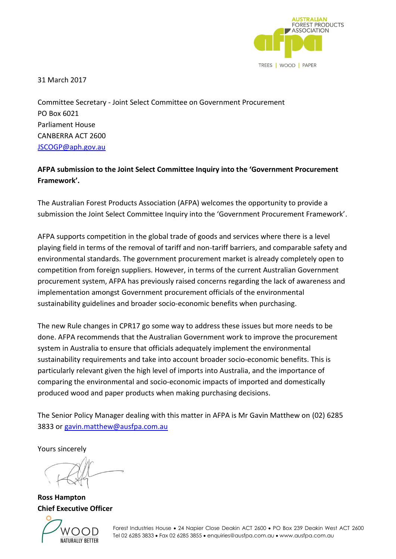

31 March 2017

Committee Secretary - Joint Select Committee on Government Procurement PO Box 6021 Parliament House CANBERRA ACT 2600 [JSCOGP@aph.gov.au](mailto:JSCOGP@aph.gov.au)

### **AFPA submission to the Joint Select Committee Inquiry into the 'Government Procurement Framework'.**

The Australian Forest Products Association (AFPA) welcomes the opportunity to provide a submission the Joint Select Committee Inquiry into the 'Government Procurement Framework'.

AFPA supports competition in the global trade of goods and services where there is a level playing field in terms of the removal of tariff and non-tariff barriers, and comparable safety and environmental standards. The government procurement market is already completely open to competition from foreign suppliers. However, in terms of the current Australian Government procurement system, AFPA has previously raised concerns regarding the lack of awareness and implementation amongst Government procurement officials of the environmental sustainability guidelines and broader socio-economic benefits when purchasing.

The new Rule changes in CPR17 go some way to address these issues but more needs to be done. AFPA recommends that the Australian Government work to improve the procurement system in Australia to ensure that officials adequately implement the environmental sustainability requirements and take into account broader socio-economic benefits. This is particularly relevant given the high level of imports into Australia, and the importance of comparing the environmental and socio-economic impacts of imported and domestically produced wood and paper products when making purchasing decisions.

The Senior Policy Manager dealing with this matter in AFPA is Mr Gavin Matthew on (02) 6285 3833 or [gavin.matthew@ausfpa.com.au](mailto:gavin.matthew@ausfpa.com.au)

Yours sincerely

**Ross Hampton Chief Executive Officer**



Forest Industries House • 24 Napier Close Deakin ACT 2600 • PO Box 239 Deakin West ACT 2600 Tel 02 6285 3833 • Fax 02 6285 3855 • enquiries@ausfpa.com.au • www.ausfpa.com.au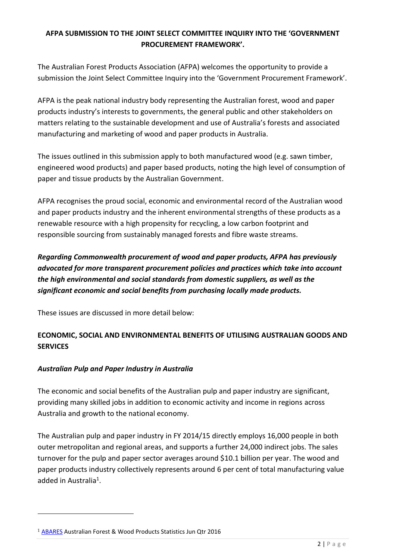### **AFPA SUBMISSION TO THE JOINT SELECT COMMITTEE INQUIRY INTO THE 'GOVERNMENT PROCUREMENT FRAMEWORK'.**

The Australian Forest Products Association (AFPA) welcomes the opportunity to provide a submission the Joint Select Committee Inquiry into the 'Government Procurement Framework'.

AFPA is the peak national industry body representing the Australian forest, wood and paper products industry's interests to governments, the general public and other stakeholders on matters relating to the sustainable development and use of Australia's forests and associated manufacturing and marketing of wood and paper products in Australia.

The issues outlined in this submission apply to both manufactured wood (e.g. sawn timber, engineered wood products) and paper based products, noting the high level of consumption of paper and tissue products by the Australian Government.

AFPA recognises the proud social, economic and environmental record of the Australian wood and paper products industry and the inherent environmental strengths of these products as a renewable resource with a high propensity for recycling, a low carbon footprint and responsible sourcing from sustainably managed forests and fibre waste streams.

*Regarding Commonwealth procurement of wood and paper products, AFPA has previously advocated for more transparent procurement policies and practices which take into account the high environmental and social standards from domestic suppliers, as well as the significant economic and social benefits from purchasing locally made products.*

These issues are discussed in more detail below:

### **ECONOMIC, SOCIAL AND ENVIRONMENTAL BENEFITS OF UTILISING AUSTRALIAN GOODS AND SERVICES**

### *Australian Pulp and Paper Industry in Australia*

The economic and social benefits of the Australian pulp and paper industry are significant, providing many skilled jobs in addition to economic activity and income in regions across Australia and growth to the national economy.

The Australian pulp and paper industry in FY 2014/15 directly employs 16,000 people in both outer metropolitan and regional areas, and supports a further 24,000 indirect jobs. The sales turnover for the pulp and paper sector averages around \$10.1 billion per year. The wood and paper products industry collectively represents around 6 per cent of total manufacturing value added in Australia<sup>1</sup>.

<u>.</u>

<sup>1</sup> [ABARES](http://www.agriculture.gov.au/abares) Australian Forest & Wood Products Statistics Jun Qtr 2016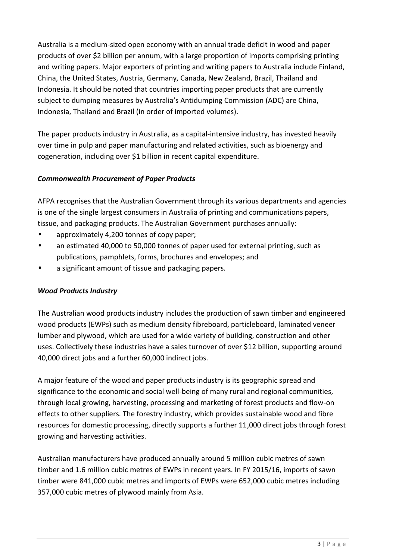Australia is a medium-sized open economy with an annual trade deficit in wood and paper products of over \$2 billion per annum, with a large proportion of imports comprising printing and writing papers. Major exporters of printing and writing papers to Australia include Finland, China, the United States, Austria, Germany, Canada, New Zealand, Brazil, Thailand and Indonesia. It should be noted that countries importing paper products that are currently subject to dumping measures by Australia's Antidumping Commission (ADC) are China, Indonesia, Thailand and Brazil (in order of imported volumes).

The paper products industry in Australia, as a capital-intensive industry, has invested heavily over time in pulp and paper manufacturing and related activities, such as bioenergy and cogeneration, including over \$1 billion in recent capital expenditure.

### *Commonwealth Procurement of Paper Products*

AFPA recognises that the Australian Government through its various departments and agencies is one of the single largest consumers in Australia of printing and communications papers, tissue, and packaging products. The Australian Government purchases annually:

- approximately 4,200 tonnes of copy paper;
- an estimated 40,000 to 50,000 tonnes of paper used for external printing, such as publications, pamphlets, forms, brochures and envelopes; and
- a significant amount of tissue and packaging papers.

### *Wood Products Industry*

The Australian wood products industry includes the production of sawn timber and engineered wood products (EWPs) such as medium density fibreboard, particleboard, laminated veneer lumber and plywood, which are used for a wide variety of building, construction and other uses. Collectively these industries have a sales turnover of over \$12 billion, supporting around 40,000 direct jobs and a further 60,000 indirect jobs.

A major feature of the wood and paper products industry is its geographic spread and significance to the economic and social well-being of many rural and regional communities, through local growing, harvesting, processing and marketing of forest products and flow-on effects to other suppliers. The forestry industry, which provides sustainable wood and fibre resources for domestic processing, directly supports a further 11,000 direct jobs through forest growing and harvesting activities.

Australian manufacturers have produced annually around 5 million cubic metres of sawn timber and 1.6 million cubic metres of EWPs in recent years. In FY 2015/16, imports of sawn timber were 841,000 cubic metres and imports of EWPs were 652,000 cubic metres including 357,000 cubic metres of plywood mainly from Asia.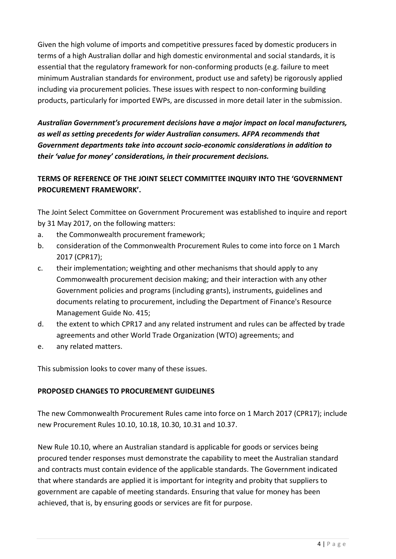Given the high volume of imports and competitive pressures faced by domestic producers in terms of a high Australian dollar and high domestic environmental and social standards, it is essential that the regulatory framework for non-conforming products (e.g. failure to meet minimum Australian standards for environment, product use and safety) be rigorously applied including via procurement policies. These issues with respect to non-conforming building products, particularly for imported EWPs, are discussed in more detail later in the submission.

*Australian Government's procurement decisions have a major impact on local manufacturers, as well as setting precedents for wider Australian consumers. AFPA recommends that Government departments take into account socio-economic considerations in addition to their 'value for money' considerations, in their procurement decisions.*

## **TERMS OF REFERENCE OF THE JOINT SELECT COMMITTEE INQUIRY INTO THE 'GOVERNMENT PROCUREMENT FRAMEWORK'.**

The Joint Select Committee on Government Procurement was established to inquire and report by 31 May 2017, on the following matters:

- a. the Commonwealth procurement framework;
- b. consideration of the Commonwealth Procurement Rules to come into force on 1 March 2017 (CPR17);
- c. their implementation; weighting and other mechanisms that should apply to any Commonwealth procurement decision making; and their interaction with any other Government policies and programs (including grants), instruments, guidelines and documents relating to procurement, including the Department of Finance's Resource Management Guide No. 415;
- d. the extent to which CPR17 and any related instrument and rules can be affected by trade agreements and other World Trade Organization (WTO) agreements; and
- e. any related matters.

This submission looks to cover many of these issues.

### **PROPOSED CHANGES TO PROCUREMENT GUIDELINES**

The new Commonwealth Procurement Rules came into force on 1 March 2017 (CPR17); include new Procurement Rules 10.10, 10.18, 10.30, 10.31 and 10.37.

New Rule 10.10, where an Australian standard is applicable for goods or services being procured tender responses must demonstrate the capability to meet the Australian standard and contracts must contain evidence of the applicable standards. The Government indicated that where standards are applied it is important for integrity and probity that suppliers to government are capable of meeting standards. Ensuring that value for money has been achieved, that is, by ensuring goods or services are fit for purpose.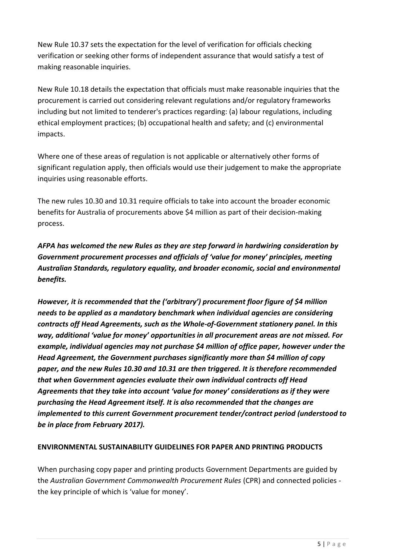New Rule 10.37 sets the expectation for the level of verification for officials checking verification or seeking other forms of independent assurance that would satisfy a test of making reasonable inquiries.

New Rule 10.18 details the expectation that officials must make reasonable inquiries that the procurement is carried out considering relevant regulations and/or regulatory frameworks including but not limited to tenderer's practices regarding: (a) labour regulations, including ethical employment practices; (b) occupational health and safety; and (c) environmental impacts.

Where one of these areas of regulation is not applicable or alternatively other forms of significant regulation apply, then officials would use their judgement to make the appropriate inquiries using reasonable efforts.

The new rules 10.30 and 10.31 require officials to take into account the broader economic benefits for Australia of procurements above \$4 million as part of their decision-making process.

*AFPA has welcomed the new Rules as they are step forward in hardwiring consideration by Government procurement processes and officials of 'value for money' principles, meeting Australian Standards, regulatory equality, and broader economic, social and environmental benefits.*

*However, it is recommended that the ('arbitrary') procurement floor figure of \$4 million needs to be applied as a mandatory benchmark when individual agencies are considering contracts off Head Agreements, such as the Whole-of-Government stationery panel. In this way, additional 'value for money' opportunities in all procurement areas are not missed. For example, individual agencies may not purchase \$4 million of office paper, however under the Head Agreement, the Government purchases significantly more than \$4 million of copy paper, and the new Rules 10.30 and 10.31 are then triggered. It is therefore recommended that when Government agencies evaluate their own individual contracts off Head Agreements that they take into account 'value for money' considerations as if they were purchasing the Head Agreement itself. It is also recommended that the changes are implemented to this current Government procurement tender/contract period (understood to be in place from February 2017).*

### **ENVIRONMENTAL SUSTAINABILITY GUIDELINES FOR PAPER AND PRINTING PRODUCTS**

When purchasing copy paper and printing products Government Departments are guided by the *Australian Government Commonwealth Procurement Rules* (CPR) and connected policies the key principle of which is 'value for money'.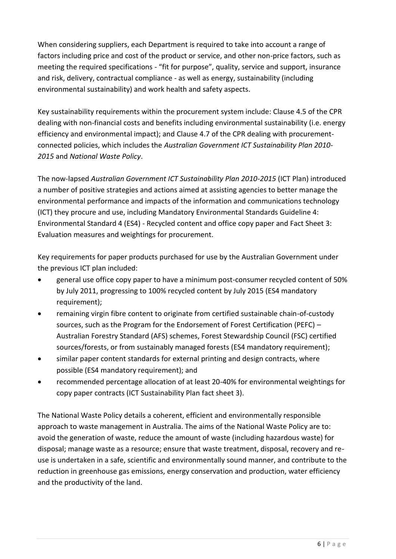When considering suppliers, each Department is required to take into account a range of factors including price and cost of the product or service, and other non-price factors, such as meeting the required specifications - "fit for purpose", quality, service and support, insurance and risk, delivery, contractual compliance - as well as energy, sustainability (including environmental sustainability) and work health and safety aspects.

Key sustainability requirements within the procurement system include: Clause 4.5 of the CPR dealing with non-financial costs and benefits including environmental sustainability (i.e. energy efficiency and environmental impact); and Clause 4.7 of the CPR dealing with procurementconnected policies, which includes the *Australian Government ICT Sustainability Plan 2010- 2015* and *National Waste Policy*.

The now-lapsed *Australian Government ICT Sustainability Plan 2010-2015* (ICT Plan) introduced a number of positive strategies and actions aimed at assisting agencies to better manage the environmental performance and impacts of the information and communications technology (ICT) they procure and use, including Mandatory Environmental Standards Guideline 4: Environmental Standard 4 (ES4) - Recycled content and office copy paper and Fact Sheet 3: Evaluation measures and weightings for procurement.

Key requirements for paper products purchased for use by the Australian Government under the previous ICT plan included:

- general use office copy paper to have a minimum post-consumer recycled content of 50% by July 2011, progressing to 100% recycled content by July 2015 (ES4 mandatory requirement);
- remaining virgin fibre content to originate from certified sustainable chain-of-custody sources, such as the Program for the Endorsement of Forest Certification (PEFC) – Australian Forestry Standard (AFS) schemes, Forest Stewardship Council (FSC) certified sources/forests, or from sustainably managed forests (ES4 mandatory requirement);
- similar paper content standards for external printing and design contracts, where possible (ES4 mandatory requirement); and
- recommended percentage allocation of at least 20-40% for environmental weightings for copy paper contracts (ICT Sustainability Plan fact sheet 3).

The National Waste Policy details a coherent, efficient and environmentally responsible approach to waste management in Australia. The aims of the National Waste Policy are to: avoid the generation of waste, reduce the amount of waste (including hazardous waste) for disposal; manage waste as a resource; ensure that waste treatment, disposal, recovery and reuse is undertaken in a safe, scientific and environmentally sound manner, and contribute to the reduction in greenhouse gas emissions, energy conservation and production, water efficiency and the productivity of the land.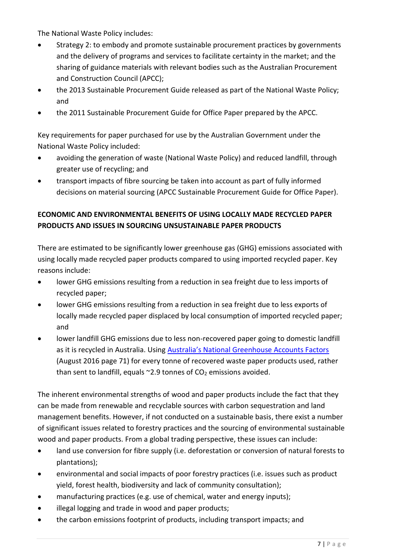The National Waste Policy includes:

- Strategy 2: to embody and promote sustainable procurement practices by governments and the delivery of programs and services to facilitate certainty in the market; and the sharing of guidance materials with relevant bodies such as the Australian Procurement and Construction Council (APCC);
- the 2013 Sustainable Procurement Guide released as part of the National Waste Policy; and
- the 2011 Sustainable Procurement Guide for Office Paper prepared by the APCC.

Key requirements for paper purchased for use by the Australian Government under the National Waste Policy included:

- avoiding the generation of waste (National Waste Policy) and reduced landfill, through greater use of recycling; and
- transport impacts of fibre sourcing be taken into account as part of fully informed decisions on material sourcing (APCC Sustainable Procurement Guide for Office Paper).

## **ECONOMIC AND ENVIRONMENTAL BENEFITS OF USING LOCALLY MADE RECYCLED PAPER PRODUCTS AND ISSUES IN SOURCING UNSUSTAINABLE PAPER PRODUCTS**

There are estimated to be significantly lower greenhouse gas (GHG) emissions associated with using locally made recycled paper products compared to using imported recycled paper. Key reasons include:

- lower GHG emissions resulting from a reduction in sea freight due to less imports of recycled paper;
- lower GHG emissions resulting from a reduction in sea freight due to less exports of locally made recycled paper displaced by local consumption of imported recycled paper; and
- lower landfill GHG emissions due to less non-recovered paper going to domestic landfill as it is recycled in Australia. Using [Australia's National Greenhouse Accounts Factors](http://www.environment.gov.au/climate-change/greenhouse-gas-measurement/publications/national-greenhouse-accounts-factors-aug-2015) (August 2016 page 71) for every tonne of recovered waste paper products used, rather than sent to landfill, equals  $\sim$ 2.9 tonnes of CO<sub>2</sub> emissions avoided.

The inherent environmental strengths of wood and paper products include the fact that they can be made from renewable and recyclable sources with carbon sequestration and land management benefits. However, if not conducted on a sustainable basis, there exist a number of significant issues related to forestry practices and the sourcing of environmental sustainable wood and paper products. From a global trading perspective, these issues can include:

- land use conversion for fibre supply (i.e. deforestation or conversion of natural forests to plantations);
- environmental and social impacts of poor forestry practices (i.e. issues such as product yield, forest health, biodiversity and lack of community consultation);
- manufacturing practices (e.g. use of chemical, water and energy inputs);
- illegal logging and trade in wood and paper products;
- the carbon emissions footprint of products, including transport impacts; and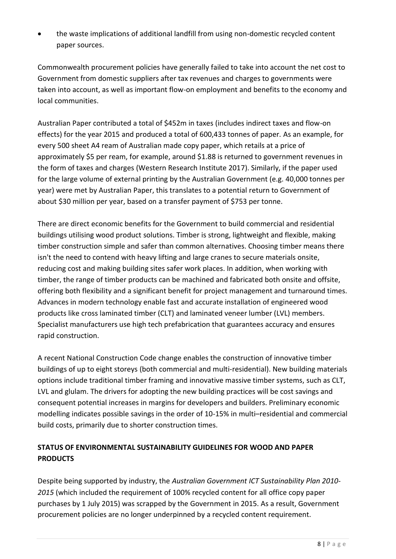• the waste implications of additional landfill from using non-domestic recycled content paper sources.

Commonwealth procurement policies have generally failed to take into account the net cost to Government from domestic suppliers after tax revenues and charges to governments were taken into account, as well as important flow-on employment and benefits to the economy and local communities.

Australian Paper contributed a total of \$452m in taxes (includes indirect taxes and flow-on effects) for the year 2015 and produced a total of 600,433 tonnes of paper. As an example, for every 500 sheet A4 ream of Australian made copy paper, which retails at a price of approximately \$5 per ream, for example, around \$1.88 is returned to government revenues in the form of taxes and charges (Western Research Institute 2017). Similarly, if the paper used for the large volume of external printing by the Australian Government (e.g. 40,000 tonnes per year) were met by Australian Paper, this translates to a potential return to Government of about \$30 million per year, based on a transfer payment of \$753 per tonne.

There are direct economic benefits for the Government to build commercial and residential buildings utilising wood product solutions. Timber is strong, lightweight and flexible, making timber construction simple and safer than common alternatives. Choosing timber means there isn't the need to contend with heavy lifting and large cranes to secure materials onsite, reducing cost and making building sites safer work places. In addition, when working with timber, the range of timber products can be machined and fabricated both onsite and offsite, offering both flexibility and a significant benefit for project management and turnaround times. Advances in modern technology enable fast and accurate installation of engineered wood products like cross laminated timber (CLT) and laminated veneer lumber (LVL) members. Specialist manufacturers use high tech prefabrication that guarantees accuracy and ensures rapid construction.

A recent National Construction Code change enables the construction of innovative timber buildings of up to eight storeys (both commercial and multi-residential). New building materials options include traditional timber framing and innovative massive timber systems, such as CLT, LVL and glulam. The drivers for adopting the new building practices will be cost savings and consequent potential increases in margins for developers and builders. Preliminary economic modelling indicates possible savings in the order of 10-15% in multi–residential and commercial build costs, primarily due to shorter construction times.

# **STATUS OF ENVIRONMENTAL SUSTAINABILITY GUIDELINES FOR WOOD AND PAPER PRODUCTS**

Despite being supported by industry, the *Australian Government ICT Sustainability Plan 2010- 2015* (which included the requirement of 100% recycled content for all office copy paper purchases by 1 July 2015) was scrapped by the Government in 2015. As a result, Government procurement policies are no longer underpinned by a recycled content requirement.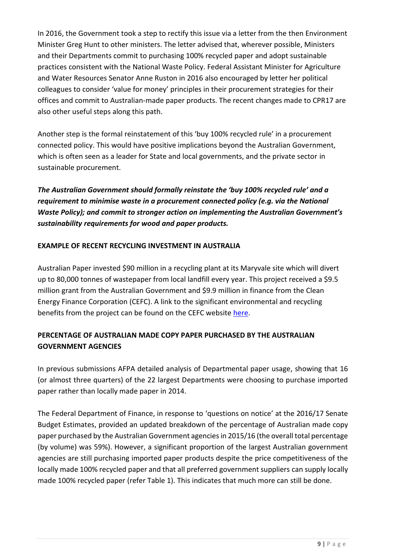In 2016, the Government took a step to rectify this issue via a letter from the then Environment Minister Greg Hunt to other ministers. The letter advised that, wherever possible, Ministers and their Departments commit to purchasing 100% recycled paper and adopt sustainable practices consistent with the National Waste Policy. Federal Assistant Minister for Agriculture and Water Resources Senator Anne Ruston in 2016 also encouraged by letter her political colleagues to consider 'value for money' principles in their procurement strategies for their offices and commit to Australian-made paper products. The recent changes made to CPR17 are also other useful steps along this path.

Another step is the formal reinstatement of this 'buy 100% recycled rule' in a procurement connected policy. This would have positive implications beyond the Australian Government, which is often seen as a leader for State and local governments, and the private sector in sustainable procurement.

*The Australian Government should formally reinstate the 'buy 100% recycled rule' and a requirement to minimise waste in a procurement connected policy (e.g. via the National Waste Policy); and commit to stronger action on implementing the Australian Government's sustainability requirements for wood and paper products.*

### **EXAMPLE OF RECENT RECYCLING INVESTMENT IN AUSTRALIA**

Australian Paper invested \$90 million in a recycling plant at its Maryvale site which will divert up to 80,000 tonnes of wastepaper from local landfill every year. This project received a \$9.5 million grant from the Australian Government and \$9.9 million in finance from the Clean Energy Finance Corporation (CEFC). A link to the significant environmental and recycling benefits from the project can be found on the CEFC websit[e here.](https://www.cleanenergyfinancecorp.com.au/media/76320/cefc-factsheet_manufacturingausindustry_lr.pdf)

# **PERCENTAGE OF AUSTRALIAN MADE COPY PAPER PURCHASED BY THE AUSTRALIAN GOVERNMENT AGENCIES**

In previous submissions AFPA detailed analysis of Departmental paper usage, showing that 16 (or almost three quarters) of the 22 largest Departments were choosing to purchase imported paper rather than locally made paper in 2014.

The Federal Department of Finance, in response to 'questions on notice' at the 2016/17 Senate Budget Estimates, provided an updated breakdown of the percentage of Australian made copy paper purchased by the Australian Government agencies in 2015/16 (the overall total percentage (by volume) was 59%). However, a significant proportion of the largest Australian government agencies are still purchasing imported paper products despite the price competitiveness of the locally made 100% recycled paper and that all preferred government suppliers can supply locally made 100% recycled paper (refer Table 1). This indicates that much more can still be done.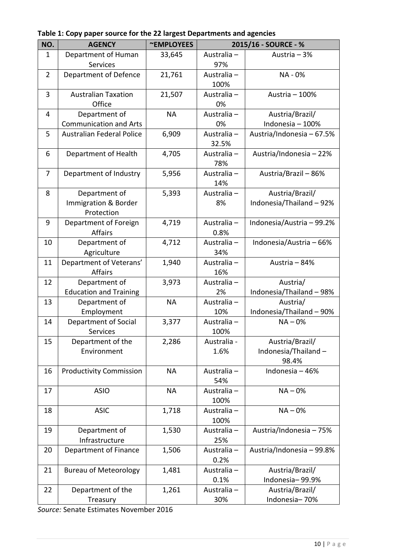| NO.            | <b>AGENCY</b>                    | ~EMPLOYEES | 2015/16 - SOURCE - % |                           |
|----------------|----------------------------------|------------|----------------------|---------------------------|
| 1              | Department of Human              | 33,645     | Australia -          | Austria - 3%              |
|                | <b>Services</b>                  |            | 97%                  |                           |
| $\overline{2}$ | Department of Defence            | 21,761     | Australia -          | NA - 0%                   |
|                |                                  |            | 100%                 |                           |
| 3              | <b>Australian Taxation</b>       | 21,507     | Australia -          | Austria - 100%            |
|                | Office                           |            | 0%                   |                           |
| 4              | Department of                    | <b>NA</b>  | Australia -          | Austria/Brazil/           |
|                | <b>Communication and Arts</b>    |            | 0%                   | Indonesia - 100%          |
| 5              | <b>Australian Federal Police</b> | 6,909      | Australia -          | Austria/Indonesia - 67.5% |
|                |                                  |            | 32.5%                |                           |
| 6              | Department of Health             | 4,705      | Australia -          | Austria/Indonesia - 22%   |
|                |                                  |            | 78%                  |                           |
| 7              | Department of Industry           | 5,956      | Australia -          | Austria/Brazil - 86%      |
|                |                                  |            | 14%                  |                           |
| 8              | Department of                    | 5,393      | Australia -          | Austria/Brazil/           |
|                | Immigration & Border             |            | 8%                   | Indonesia/Thailand-92%    |
|                | Protection                       |            |                      |                           |
| 9              | Department of Foreign            | 4,719      | Australia -          | Indonesia/Austria - 99.2% |
|                | <b>Affairs</b>                   |            | 0.8%                 |                           |
| 10             | Department of                    | 4,712      | Australia -          | Indonesia/Austria - 66%   |
|                | Agriculture                      |            | 34%                  |                           |
| 11             | Department of Veterans'          | 1,940      | Australia -          | Austria - 84%             |
|                | <b>Affairs</b>                   |            | 16%                  |                           |
| 12             | Department of                    | 3,973      | Australia -          | Austria/                  |
|                | <b>Education and Training</b>    |            | 2%                   | Indonesia/Thailand - 98%  |
| 13             | Department of                    | <b>NA</b>  | Australia -          | Austria/                  |
|                | Employment                       |            | 10%                  | Indonesia/Thailand - 90%  |
| 14             | Department of Social             | 3,377      | Australia -          | $NA - 0%$                 |
|                | Services                         |            | 100%                 |                           |
| 15             | Department of the                | 2,286      | Australia -          | Austria/Brazil/           |
|                | Environment                      |            | 1.6%                 | Indonesia/Thailand-       |
|                |                                  |            |                      | 98.4%                     |
| 16             | <b>Productivity Commission</b>   | <b>NA</b>  | Australia -          | Indonesia - 46%           |
|                |                                  |            | 54%                  |                           |
| 17             | <b>ASIO</b>                      | <b>NA</b>  | Australia -          | $NA - 0%$                 |
|                |                                  |            | 100%                 |                           |
| 18             | <b>ASIC</b>                      | 1,718      | Australia -          | $NA - 0%$                 |
|                |                                  |            | 100%                 |                           |
| 19             | Department of                    | 1,530      | Australia -          | Austria/Indonesia - 75%   |
|                | Infrastructure                   |            | 25%                  |                           |
| 20             | Department of Finance            | 1,506      | Australia -          | Austria/Indonesia - 99.8% |
|                |                                  |            | 0.2%                 |                           |
| 21             | <b>Bureau of Meteorology</b>     | 1,481      | Australia -          | Austria/Brazil/           |
|                |                                  |            | 0.1%                 | Indonesia-99.9%           |
| 22             | Department of the                | 1,261      | Australia -          | Austria/Brazil/           |
|                | Treasury                         |            | 30%                  | Indonesia-70%             |

**Table 1: Copy paper source for the 22 largest Departments and agencies**

*Source:* Senate Estimates November 2016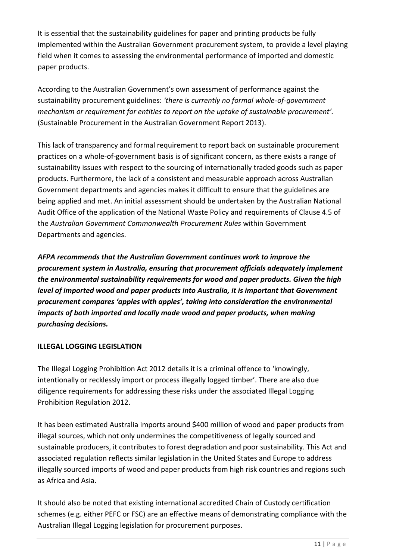It is essential that the sustainability guidelines for paper and printing products be fully implemented within the Australian Government procurement system, to provide a level playing field when it comes to assessing the environmental performance of imported and domestic paper products.

According to the Australian Government's own assessment of performance against the sustainability procurement guidelines: *'there is currently no formal whole‐of‐government mechanism or requirement for entities to report on the uptake of sustainable procurement'.* (Sustainable Procurement in the Australian Government Report 2013).

This lack of transparency and formal requirement to report back on sustainable procurement practices on a whole‐of‐government basis is of significant concern, as there exists a range of sustainability issues with respect to the sourcing of internationally traded goods such as paper products. Furthermore, the lack of a consistent and measurable approach across Australian Government departments and agencies makes it difficult to ensure that the guidelines are being applied and met. An initial assessment should be undertaken by the Australian National Audit Office of the application of the National Waste Policy and requirements of Clause 4.5 of the *Australian Government Commonwealth Procurement Rules* within Government Departments and agencies.

*AFPA recommends that the Australian Government continues work to improve the procurement system in Australia, ensuring that procurement officials adequately implement the environmental sustainability requirements for wood and paper products. Given the high level of imported wood and paper products into Australia, it is important that Government procurement compares 'apples with apples', taking into consideration the environmental impacts of both imported and locally made wood and paper products, when making purchasing decisions.*

### **ILLEGAL LOGGING LEGISLATION**

The Illegal Logging Prohibition Act 2012 details it is a criminal offence to 'knowingly, intentionally or recklessly import or process illegally logged timber'. There are also due diligence requirements for addressing these risks under the associated Illegal Logging Prohibition Regulation 2012.

It has been estimated Australia imports around \$400 million of wood and paper products from illegal sources, which not only undermines the competitiveness of legally sourced and sustainable producers, it contributes to forest degradation and poor sustainability. This Act and associated regulation reflects similar legislation in the United States and Europe to address illegally sourced imports of wood and paper products from high risk countries and regions such as Africa and Asia.

It should also be noted that existing international accredited Chain of Custody certification schemes (e.g. either PEFC or FSC) are an effective means of demonstrating compliance with the Australian Illegal Logging legislation for procurement purposes.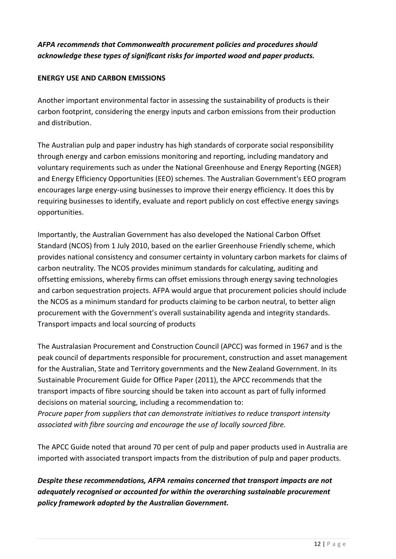# *AFPA recommends that Commonwealth procurement policies and procedures should acknowledge these types of significant risks for imported wood and paper products.*

### **ENERGY USE AND CARBON EMISSIONS**

Another important environmental factor in assessing the sustainability of products is their carbon footprint, considering the energy inputs and carbon emissions from their production and distribution.

The Australian pulp and paper industry has high standards of corporate social responsibility through energy and carbon emissions monitoring and reporting, including mandatory and voluntary requirements such as under the National Greenhouse and Energy Reporting (NGER) and Energy Efficiency Opportunities (EEO) schemes. The Australian Government's EEO program encourages large energy-using businesses to improve their energy efficiency. It does this by requiring businesses to identify, evaluate and report publicly on cost effective energy savings opportunities.

Importantly, the Australian Government has also developed the National Carbon Offset Standard (NCOS) from 1 July 2010, based on the earlier Greenhouse Friendly scheme, which provides national consistency and consumer certainty in voluntary carbon markets for claims of carbon neutrality. The NCOS provides minimum standards for calculating, auditing and offsetting emissions, whereby firms can offset emissions through energy saving technologies and carbon sequestration projects. AFPA would argue that procurement policies should include the NCOS as a minimum standard for products claiming to be carbon neutral, to better align procurement with the Government's overall sustainability agenda and integrity standards. Transport impacts and local sourcing of products

The Australasian Procurement and Construction Council (APCC) was formed in 1967 and is the peak council of departments responsible for procurement, construction and asset management for the Australian, State and Territory governments and the New Zealand Government. In its Sustainable Procurement Guide for Office Paper (2011), the APCC recommends that the transport impacts of fibre sourcing should be taken into account as part of fully informed decisions on material sourcing, including a recommendation to: *Procure paper from suppliers that can demonstrate initiatives to reduce transport intensity associated with fibre sourcing and encourage the use of locally sourced fibre.*

The APCC Guide noted that around 70 per cent of pulp and paper products used in Australia are imported with associated transport impacts from the distribution of pulp and paper products.

*Despite these recommendations, AFPA remains concerned that transport impacts are not adequately recognised or accounted for within the overarching sustainable procurement policy framework adopted by the Australian Government.*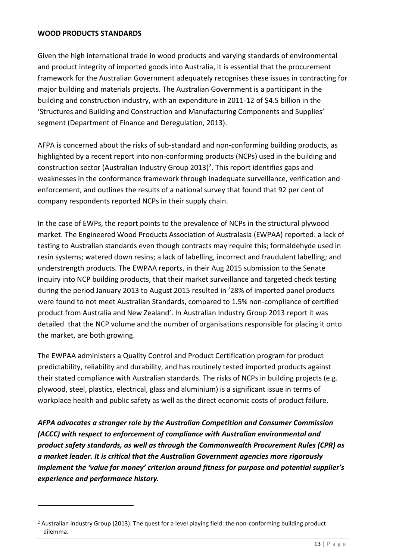#### **WOOD PRODUCTS STANDARDS**

-

Given the high international trade in wood products and varying standards of environmental and product integrity of imported goods into Australia, it is essential that the procurement framework for the Australian Government adequately recognises these issues in contracting for major building and materials projects. The Australian Government is a participant in the building and construction industry, with an expenditure in 2011-12 of \$4.5 billion in the 'Structures and Building and Construction and Manufacturing Components and Supplies' segment (Department of Finance and Deregulation, 2013).

AFPA is concerned about the risks of sub-standard and non-conforming building products, as highlighted by a recent report into non-conforming products (NCPs) used in the building and construction sector (Australian Industry Group 2013)<sup>2</sup>. This report identifies gaps and weaknesses in the conformance framework through inadequate surveillance, verification and enforcement, and outlines the results of a national survey that found that 92 per cent of company respondents reported NCPs in their supply chain.

In the case of EWPs, the report points to the prevalence of NCPs in the structural plywood market. The Engineered Wood Products Association of Australasia (EWPAA) reported: a lack of testing to Australian standards even though contracts may require this; formaldehyde used in resin systems; watered down resins; a lack of labelling, incorrect and fraudulent labelling; and understrength products. The EWPAA reports, in their Aug 2015 submission to the Senate Inquiry into NCP building products, that their market surveillance and targeted check testing during the period January 2013 to August 2015 resulted in '28% of imported panel products were found to not meet Australian Standards, compared to 1.5% non-compliance of certified product from Australia and New Zealand'. In Australian Industry Group 2013 report it was detailed that the NCP volume and the number of organisations responsible for placing it onto the market, are both growing.

The EWPAA administers a Quality Control and Product Certification program for product predictability, reliability and durability, and has routinely tested imported products against their stated compliance with Australian standards. The risks of NCPs in building projects (e.g. plywood, steel, plastics, electrical, glass and aluminium) is a significant issue in terms of workplace health and public safety as well as the direct economic costs of product failure.

*AFPA advocates a stronger role by the Australian Competition and Consumer Commission (ACCC) with respect to enforcement of compliance with Australian environmental and product safety standards, as well as through the Commonwealth Procurement Rules (CPR) as a market leader. It is critical that the Australian Government agencies more rigorously implement the 'value for money' criterion around fitness for purpose and potential supplier's experience and performance history.*

<sup>2</sup> Australian industry Group (2013). The quest for a level playing field: the non-conforming building product dilemma.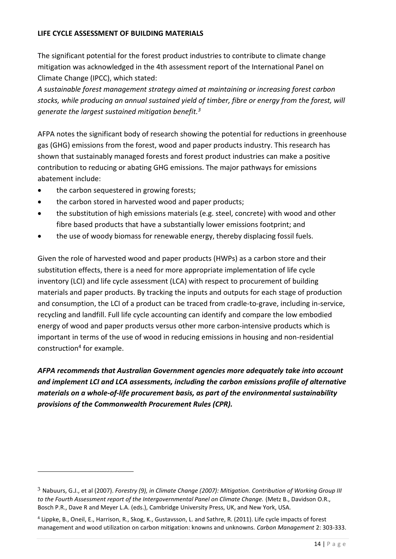#### **LIFE CYCLE ASSESSMENT OF BUILDING MATERIALS**

The significant potential for the forest product industries to contribute to climate change mitigation was acknowledged in the 4th assessment report of the International Panel on Climate Change (IPCC), which stated:

*A sustainable forest management strategy aimed at maintaining or increasing forest carbon stocks, while producing an annual sustained yield of timber, fibre or energy from the forest, will generate the largest sustained mitigation benefit.<sup>3</sup>*

AFPA notes the significant body of research showing the potential for reductions in greenhouse gas (GHG) emissions from the forest, wood and paper products industry. This research has shown that sustainably managed forests and forest product industries can make a positive contribution to reducing or abating GHG emissions. The major pathways for emissions abatement include:

the carbon sequestered in growing forests;

<u>.</u>

- the carbon stored in harvested wood and paper products;
- the substitution of high emissions materials (e.g. steel, concrete) with wood and other fibre based products that have a substantially lower emissions footprint; and
- the use of woody biomass for renewable energy, thereby displacing fossil fuels.

Given the role of harvested wood and paper products (HWPs) as a carbon store and their substitution effects, there is a need for more appropriate implementation of life cycle inventory (LCI) and life cycle assessment (LCA) with respect to procurement of building materials and paper products. By tracking the inputs and outputs for each stage of production and consumption, the LCI of a product can be traced from cradle-to-grave, including in-service, recycling and landfill. Full life cycle accounting can identify and compare the low embodied energy of wood and paper products versus other more carbon-intensive products which is important in terms of the use of wood in reducing emissions in housing and non-residential construction<sup>4</sup> for example.

*AFPA recommends that Australian Government agencies more adequately take into account and implement LCI and LCA assessments, including the carbon emissions profile of alternative materials on a whole-of-life procurement basis, as part of the environmental sustainability provisions of the Commonwealth Procurement Rules (CPR).*

<sup>3</sup> Nabuurs, G.J., et al (2007). *Forestry (9), in Climate Change (2007): Mitigation. Contribution of Working Group III to the Fourth Assessment report of the Intergovernmental Panel on Climate Change.* (Metz B., Davidson O.R., Bosch P.R., Dave R and Meyer L.A. (eds.), Cambridge University Press, UK, and New York, USA.

<sup>4</sup> Lippke, B., Oneil, E., Harrison, R., Skog, K., Gustavsson, L. and Sathre, R. (2011). Life cycle impacts of forest management and wood utilization on carbon mitigation: knowns and unknowns. *Carbon Management* 2: 303-333.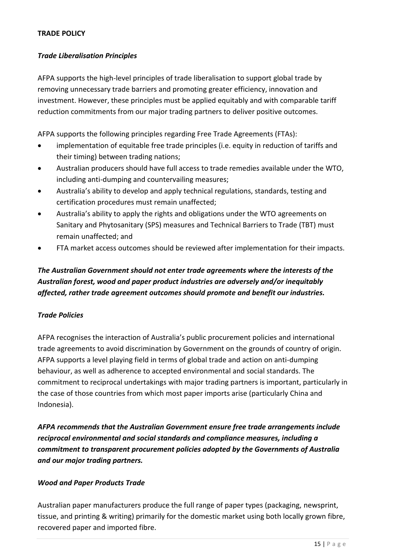#### **TRADE POLICY**

#### *Trade Liberalisation Principles*

AFPA supports the high-level principles of trade liberalisation to support global trade by removing unnecessary trade barriers and promoting greater efficiency, innovation and investment. However, these principles must be applied equitably and with comparable tariff reduction commitments from our major trading partners to deliver positive outcomes.

AFPA supports the following principles regarding Free Trade Agreements (FTAs):

- implementation of equitable free trade principles (i.e. equity in reduction of tariffs and their timing) between trading nations;
- Australian producers should have full access to trade remedies available under the WTO, including anti-dumping and countervailing measures;
- Australia's ability to develop and apply technical regulations, standards, testing and certification procedures must remain unaffected;
- Australia's ability to apply the rights and obligations under the WTO agreements on Sanitary and Phytosanitary (SPS) measures and Technical Barriers to Trade (TBT) must remain unaffected; and
- FTA market access outcomes should be reviewed after implementation for their impacts.

# *The Australian Government should not enter trade agreements where the interests of the Australian forest, wood and paper product industries are adversely and/or inequitably affected, rather trade agreement outcomes should promote and benefit our industries.*

### *Trade Policies*

AFPA recognises the interaction of Australia's public procurement policies and international trade agreements to avoid discrimination by Government on the grounds of country of origin. AFPA supports a level playing field in terms of global trade and action on anti-dumping behaviour, as well as adherence to accepted environmental and social standards. The commitment to reciprocal undertakings with major trading partners is important, particularly in the case of those countries from which most paper imports arise (particularly China and Indonesia).

*AFPA recommends that the Australian Government ensure free trade arrangements include reciprocal environmental and social standards and compliance measures, including a commitment to transparent procurement policies adopted by the Governments of Australia and our major trading partners.*

#### *Wood and Paper Products Trade*

Australian paper manufacturers produce the full range of paper types (packaging, newsprint, tissue, and printing & writing) primarily for the domestic market using both locally grown fibre, recovered paper and imported fibre.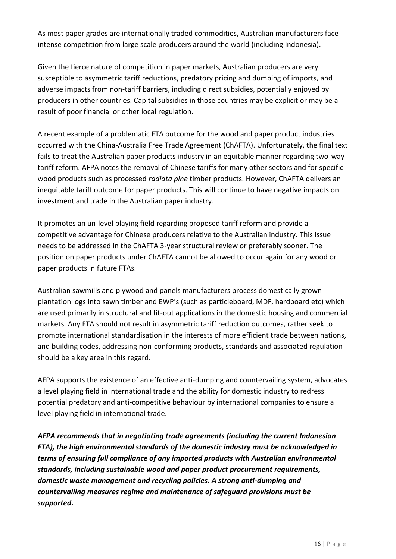As most paper grades are internationally traded commodities, Australian manufacturers face intense competition from large scale producers around the world (including Indonesia).

Given the fierce nature of competition in paper markets, Australian producers are very susceptible to asymmetric tariff reductions, predatory pricing and dumping of imports, and adverse impacts from non-tariff barriers, including direct subsidies, potentially enjoyed by producers in other countries. Capital subsidies in those countries may be explicit or may be a result of poor financial or other local regulation.

A recent example of a problematic FTA outcome for the wood and paper product industries occurred with the China-Australia Free Trade Agreement (ChAFTA). Unfortunately, the final text fails to treat the Australian paper products industry in an equitable manner regarding two-way tariff reform. AFPA notes the removal of Chinese tariffs for many other sectors and for specific wood products such as processed *radiata pine* timber products. However, ChAFTA delivers an inequitable tariff outcome for paper products. This will continue to have negative impacts on investment and trade in the Australian paper industry.

It promotes an un-level playing field regarding proposed tariff reform and provide a competitive advantage for Chinese producers relative to the Australian industry. This issue needs to be addressed in the ChAFTA 3-year structural review or preferably sooner. The position on paper products under ChAFTA cannot be allowed to occur again for any wood or paper products in future FTAs.

Australian sawmills and plywood and panels manufacturers process domestically grown plantation logs into sawn timber and EWP's (such as particleboard, MDF, hardboard etc) which are used primarily in structural and fit-out applications in the domestic housing and commercial markets. Any FTA should not result in asymmetric tariff reduction outcomes, rather seek to promote international standardisation in the interests of more efficient trade between nations, and building codes, addressing non-conforming products, standards and associated regulation should be a key area in this regard.

AFPA supports the existence of an effective anti-dumping and countervailing system, advocates a level playing field in international trade and the ability for domestic industry to redress potential predatory and anti-competitive behaviour by international companies to ensure a level playing field in international trade.

*AFPA recommends that in negotiating trade agreements (including the current Indonesian FTA), the high environmental standards of the domestic industry must be acknowledged in terms of ensuring full compliance of any imported products with Australian environmental standards, including sustainable wood and paper product procurement requirements, domestic waste management and recycling policies. A strong anti-dumping and countervailing measures regime and maintenance of safeguard provisions must be supported.*